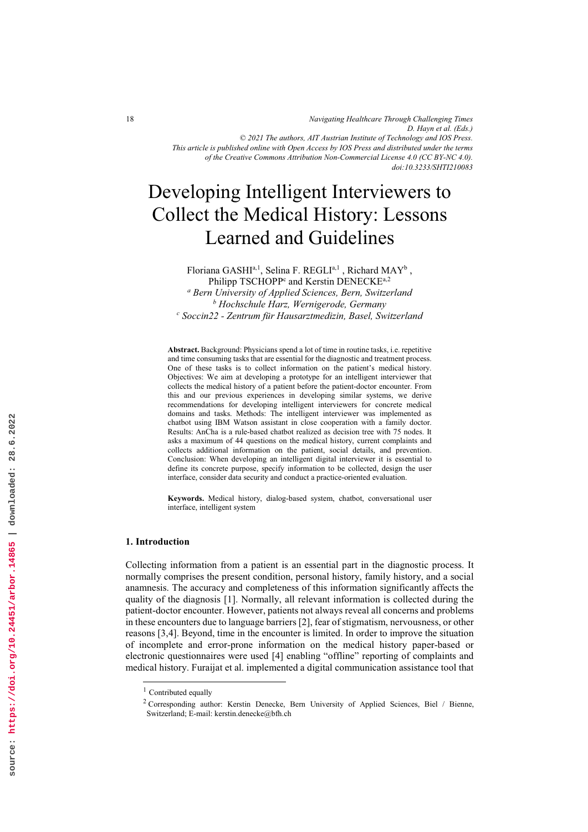*Navigating Healthcare Through Challenging Times D. Hayn et al. (Eds.) © 2021 The authors, AIT Austrian Institute of Technology and IOS Press. This article is published online with Open Access by IOS Press and distributed under the terms of the Creative Commons Attribution Non-Commercial License 4.0 (CC BY-NC 4.0). doi:10.3233/SHTI210083*

# Developing Intelligent Interviewers to Collect the Medical History: Lessons Learned and Guidelines

Floriana GASHI<sup>a, 1</sup>, Selina F. REGLI<sup>a, 1</sup>, Richard MAY<sup>b</sup>, Philipp TSCHOPP<sup>c</sup> and Kerstin DENECKE<sup>a,2</sup>

<sup>a</sup> Bern University of Applied Sciences, Bern, Switzerland<br><sup>b</sup> Hochschule Harz, Wernigerode, Germany  $<sup>b</sup>$  Hochschule Harz, Wernigerode, Germany</sup> <sup>c</sup> Soccin22 - Zentrum für Hausarztmedizin, Basel, Switzerland

Abstract. Background: Physicians spend a lot of time in routine tasks, i.e. repetitive and time consuming tasks that are essential for the diagnostic and treatment process. One of these tasks is to collect information on the patient's medical history. Objectives: We aim at developing a prototype for an intelligent interviewer that collects the medical history of a patient before the patient-doctor encounter. From this and our previous experiences in developing similar systems, we derive recommendations for developing intelligent interviewers for concrete medical domains and tasks. Methods: The intelligent interviewer was implemented as chatbot using IBM Watson assistant in close cooperation with a family doctor. Results: AnCha is a rule-based chatbot realized as decision tree with 75 nodes. It asks a maximum of 44 questions on the medical history, current complaints and collects additional information on the patient, social details, and prevention. Conclusion: When developing an intelligent digital interviewer it is essential to define its concrete purpose, specify information to be collected, design the user interface, consider data security and conduct a practice-oriented evaluation.

Keywords. Medical history, dialog-based system, chatbot, conversational user interface, intelligent system

# 1. Introduction

Collecting information from a patient is an essential part in the diagnostic process. It normally comprises the present condition, personal history, family history, and a social anamnesis. The accuracy and completeness of this information significantly affects the quality of the diagnosis [1]. Normally, all relevant information is collected during the patient-doctor encounter. However, patients not always reveal all concerns and problems in these encounters due to language barriers [2], fear of stigmatism, nervousness, or other reasons [3,4]. Beyond, time in the encounter is limited. In order to improve the situation of incomplete and error-prone information on the medical history paper-based or electronic questionnaires were used [4] enabling "offline" reporting of complaints and medical history. Furaijat et al. implemented a digital communication assistance tool that

 $1$  Contributed equally

<sup>&</sup>lt;sup>2</sup> Corresponding author: Kerstin Denecke, Bern University of Applied Sciences, Biel / Bienne, Switzerland; E-mail: kerstin.denecke@bfh.ch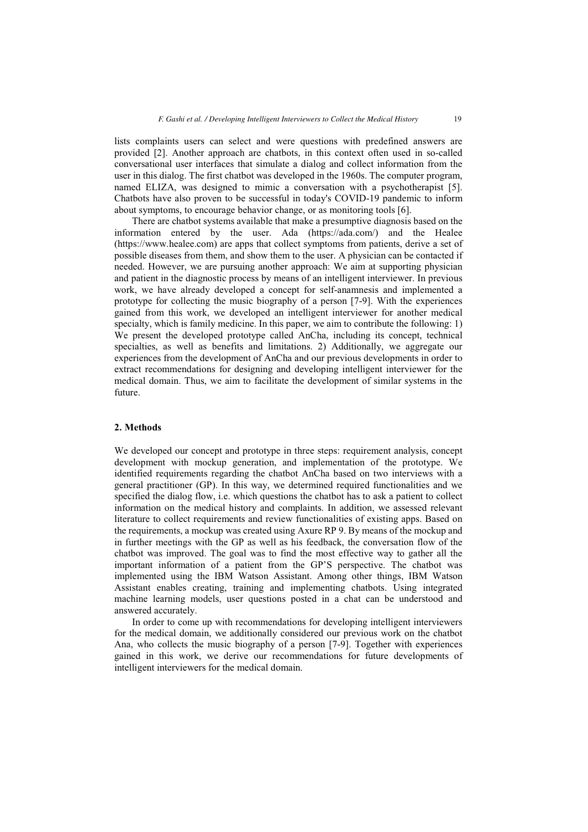lists complaints users can select and were questions with predefined answers are provided [2]. Another approach are chatbots, in this context often used in so-called conversational user interfaces that simulate a dialog and collect information from the user in this dialog. The first chatbot was developed in the 1960s. The computer program, named ELIZA, was designed to mimic a conversation with a psychotherapist [5]. Chatbots have also proven to be successful in today's COVID-19 pandemic to inform about symptoms, to encourage behavior change, or as monitoring tools [6].

There are chatbot systems available that make a presumptive diagnosis based on the information entered by the user. Ada (https://ada.com/) and the Healee (https://www.healee.com) are apps that collect symptoms from patients, derive a set of possible diseases from them, and show them to the user. A physician can be contacted if needed. However, we are pursuing another approach: We aim at supporting physician and patient in the diagnostic process by means of an intelligent interviewer. In previous work, we have already developed a concept for self-anamnesis and implemented a prototype for collecting the music biography of a person [7-9]. With the experiences gained from this work, we developed an intelligent interviewer for another medical specialty, which is family medicine. In this paper, we aim to contribute the following: 1) We present the developed prototype called AnCha, including its concept, technical specialties, as well as benefits and limitations. 2) Additionally, we aggregate our experiences from the development of AnCha and our previous developments in order to extract recommendations for designing and developing intelligent interviewer for the medical domain. Thus, we aim to facilitate the development of similar systems in the future.

# 2. Methods

We developed our concept and prototype in three steps: requirement analysis, concept development with mockup generation, and implementation of the prototype. We identified requirements regarding the chatbot AnCha based on two interviews with a general practitioner (GP). In this way, we determined required functionalities and we specified the dialog flow, i.e. which questions the chatbot has to ask a patient to collect information on the medical history and complaints. In addition, we assessed relevant literature to collect requirements and review functionalities of existing apps. Based on the requirements, a mockup was created using Axure RP 9. By means of the mockup and in further meetings with the GP as well as his feedback, the conversation flow of the chatbot was improved. The goal was to find the most effective way to gather all the important information of a patient from the GP'S perspective. The chatbot was implemented using the IBM Watson Assistant. Among other things, IBM Watson Assistant enables creating, training and implementing chatbots. Using integrated machine learning models, user questions posted in a chat can be understood and answered accurately.

In order to come up with recommendations for developing intelligent interviewers for the medical domain, we additionally considered our previous work on the chatbot Ana, who collects the music biography of a person [7-9]. Together with experiences gained in this work, we derive our recommendations for future developments of intelligent interviewers for the medical domain.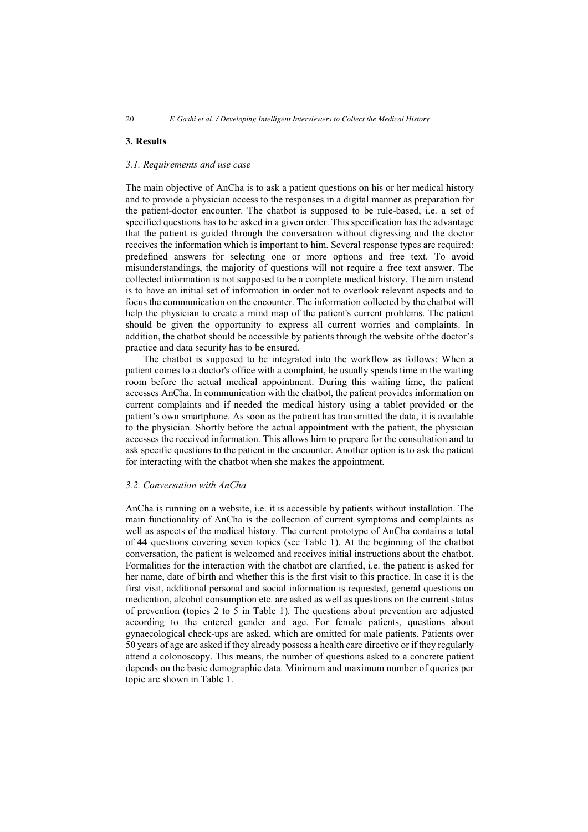# 3. Results

### 3.1. Requirements and use case

The main objective of AnCha is to ask a patient questions on his or her medical history and to provide a physician access to the responses in a digital manner as preparation for the patient-doctor encounter. The chatbot is supposed to be rule-based, i.e. a set of specified questions has to be asked in a given order. This specification has the advantage that the patient is guided through the conversation without digressing and the doctor receives the information which is important to him. Several response types are required: predefined answers for selecting one or more options and free text. To avoid misunderstandings, the majority of questions will not require a free text answer. The collected information is not supposed to be a complete medical history. The aim instead is to have an initial set of information in order not to overlook relevant aspects and to focus the communication on the encounter. The information collected by the chatbot will help the physician to create a mind map of the patient's current problems. The patient should be given the opportunity to express all current worries and complaints. In addition, the chatbot should be accessible by patients through the website of the doctor's practice and data security has to be ensured.

The chatbot is supposed to be integrated into the workflow as follows: When a patient comes to a doctor's office with a complaint, he usually spends time in the waiting room before the actual medical appointment. During this waiting time, the patient accesses AnCha. In communication with the chatbot, the patient provides information on current complaints and if needed the medical history using a tablet provided or the patient's own smartphone. As soon as the patient has transmitted the data, it is available to the physician. Shortly before the actual appointment with the patient, the physician accesses the received information. This allows him to prepare for the consultation and to ask specific questions to the patient in the encounter. Another option is to ask the patient for interacting with the chatbot when she makes the appointment.

# 3.2. Conversation with AnCha

AnCha is running on a website, i.e. it is accessible by patients without installation. The main functionality of AnCha is the collection of current symptoms and complaints as well as aspects of the medical history. The current prototype of AnCha contains a total of 44 questions covering seven topics (see Table 1). At the beginning of the chatbot conversation, the patient is welcomed and receives initial instructions about the chatbot. Formalities for the interaction with the chatbot are clarified, i.e. the patient is asked for her name, date of birth and whether this is the first visit to this practice. In case it is the first visit, additional personal and social information is requested, general questions on medication, alcohol consumption etc. are asked as well as questions on the current status of prevention (topics 2 to 5 in Table 1). The questions about prevention are adjusted according to the entered gender and age. For female patients, questions about gynaecological check-ups are asked, which are omitted for male patients. Patients over 50 years of age are asked if they already possess a health care directive or if they regularly attend a colonoscopy. This means, the number of questions asked to a concrete patient depends on the basic demographic data. Minimum and maximum number of queries per topic are shown in Table 1.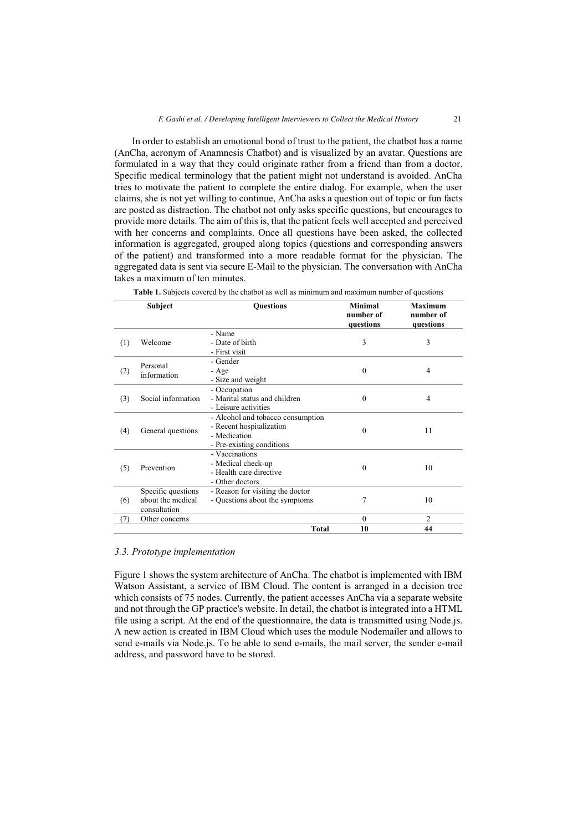In order to establish an emotional bond of trust to the patient, the chatbot has a name (AnCha, acronym of Anamnesis Chatbot) and is visualized by an avatar. Questions are formulated in a way that they could originate rather from a friend than from a doctor. Specific medical terminology that the patient might not understand is avoided. AnCha tries to motivate the patient to complete the entire dialog. For example, when the user claims, she is not yet willing to continue, AnCha asks a question out of topic or fun facts are posted as distraction. The chatbot not only asks specific questions, but encourages to provide more details. The aim of this is, that the patient feels well accepted and perceived with her concerns and complaints. Once all questions have been asked, the collected information is aggregated, grouped along topics (questions and corresponding answers of the patient) and transformed into a more readable format for the physician. The aggregated data is sent via secure E-Mail to the physician. The conversation with AnCha takes a maximum of ten minutes.

|     | Subject                                                 | <b>Ouestions</b>                                                                                           | <b>Minimal</b><br>number of<br>questions | <b>Maximum</b><br>number of<br>questions |
|-----|---------------------------------------------------------|------------------------------------------------------------------------------------------------------------|------------------------------------------|------------------------------------------|
| (1) | Welcome                                                 | - Name<br>- Date of birth<br>- First visit                                                                 | 3                                        | 3                                        |
| (2) | Personal<br>information                                 | - Gender<br>- Age<br>- Size and weight                                                                     | $\theta$                                 | 4                                        |
| (3) | Social information                                      | - Occupation<br>- Marital status and children<br>- Leisure activities                                      | $\theta$                                 | 4                                        |
| (4) | General questions                                       | - Alcohol and tobacco consumption<br>- Recent hospitalization<br>- Medication<br>- Pre-existing conditions | $\theta$                                 | 11                                       |
| (5) | Prevention                                              | - Vaccinations<br>- Medical check-up<br>- Health care directive<br>- Other doctors                         | $\theta$                                 | 10                                       |
| (6) | Specific questions<br>about the medical<br>consultation | - Reason for visiting the doctor<br>- Questions about the symptoms                                         | 7                                        | 10                                       |
| (7) | Other concerns                                          | <b>Total</b>                                                                                               | $\theta$<br>10                           | $\overline{c}$<br>44                     |
|     |                                                         |                                                                                                            |                                          |                                          |

Table 1. Subjects covered by the chatbot as well as minimum and maximum number of questions

#### 3.3. Prototype implementation

Figure 1 shows the system architecture of AnCha. The chatbot is implemented with IBM Watson Assistant, a service of IBM Cloud. The content is arranged in a decision tree which consists of 75 nodes. Currently, the patient accesses AnCha via a separate website and not through the GP practice's website. In detail, the chatbot is integrated into a HTML file using a script. At the end of the questionnaire, the data is transmitted using Node.js. A new action is created in IBM Cloud which uses the module Nodemailer and allows to send e-mails via Node.js. To be able to send e-mails, the mail server, the sender e-mail address, and password have to be stored.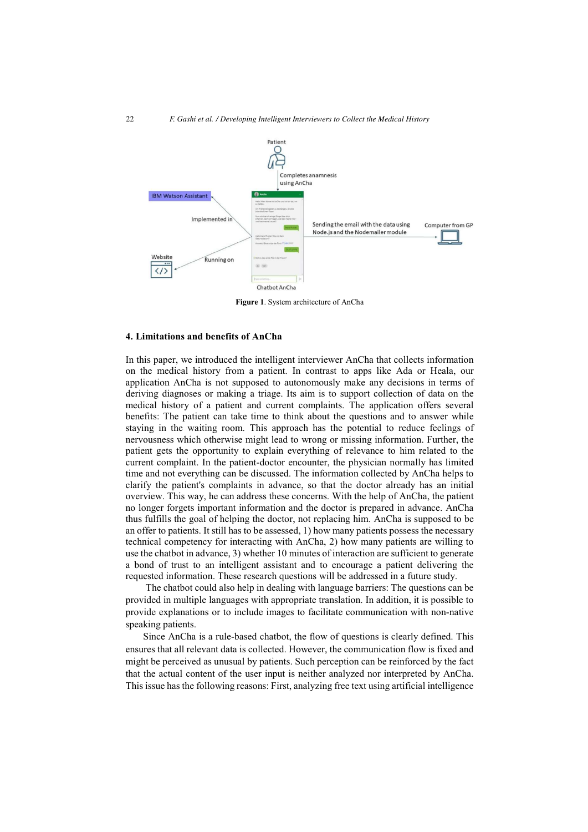

Figure 1. System architecture of AnCha

#### 4. Limitations and benefits of AnCha

In this paper, we introduced the intelligent interviewer AnCha that collects information on the medical history from a patient. In contrast to apps like Ada or Heala, our application AnCha is not supposed to autonomously make any decisions in terms of deriving diagnoses or making a triage. Its aim is to support collection of data on the medical history of a patient and current complaints. The application offers several benefits: The patient can take time to think about the questions and to answer while staying in the waiting room. This approach has the potential to reduce feelings of nervousness which otherwise might lead to wrong or missing information. Further, the patient gets the opportunity to explain everything of relevance to him related to the current complaint. In the patient-doctor encounter, the physician normally has limited time and not everything can be discussed. The information collected by AnCha helps to clarify the patient's complaints in advance, so that the doctor already has an initial overview. This way, he can address these concerns. With the help of AnCha, the patient no longer forgets important information and the doctor is prepared in advance. AnCha thus fulfills the goal of helping the doctor, not replacing him. AnCha is supposed to be an offer to patients. It still has to be assessed, 1) how many patients possess the necessary technical competency for interacting with AnCha, 2) how many patients are willing to use the chatbot in advance, 3) whether 10 minutes of interaction are sufficient to generate a bond of trust to an intelligent assistant and to encourage a patient delivering the requested information. These research questions will be addressed in a future study.

 The chatbot could also help in dealing with language barriers: The questions can be provided in multiple languages with appropriate translation. In addition, it is possible to provide explanations or to include images to facilitate communication with non-native speaking patients.

Since AnCha is a rule-based chatbot, the flow of questions is clearly defined. This ensures that all relevant data is collected. However, the communication flow is fixed and might be perceived as unusual by patients. Such perception can be reinforced by the fact that the actual content of the user input is neither analyzed nor interpreted by AnCha. This issue has the following reasons: First, analyzing free text using artificial intelligence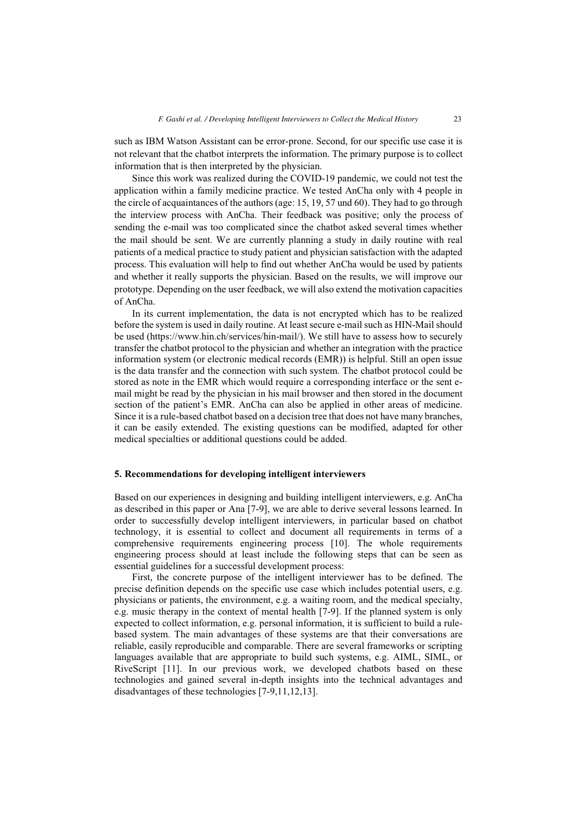such as IBM Watson Assistant can be error-prone. Second, for our specific use case it is not relevant that the chatbot interprets the information. The primary purpose is to collect information that is then interpreted by the physician.

Since this work was realized during the COVID-19 pandemic, we could not test the application within a family medicine practice. We tested AnCha only with 4 people in the circle of acquaintances of the authors (age: 15, 19, 57 und 60). They had to go through the interview process with AnCha. Their feedback was positive; only the process of sending the e-mail was too complicated since the chatbot asked several times whether the mail should be sent. We are currently planning a study in daily routine with real patients of a medical practice to study patient and physician satisfaction with the adapted process. This evaluation will help to find out whether AnCha would be used by patients and whether it really supports the physician. Based on the results, we will improve our prototype. Depending on the user feedback, we will also extend the motivation capacities of AnCha.

In its current implementation, the data is not encrypted which has to be realized before the system is used in daily routine. At least secure e-mail such as HIN-Mail should be used (https://www.hin.ch/services/hin-mail/). We still have to assess how to securely transfer the chatbot protocol to the physician and whether an integration with the practice information system (or electronic medical records (EMR)) is helpful. Still an open issue is the data transfer and the connection with such system. The chatbot protocol could be stored as note in the EMR which would require a corresponding interface or the sent email might be read by the physician in his mail browser and then stored in the document section of the patient's EMR. AnCha can also be applied in other areas of medicine. Since it is a rule-based chatbot based on a decision tree that does not have many branches, it can be easily extended. The existing questions can be modified, adapted for other medical specialties or additional questions could be added.

# 5. Recommendations for developing intelligent interviewers

Based on our experiences in designing and building intelligent interviewers, e.g. AnCha as described in this paper or Ana [7-9], we are able to derive several lessons learned. In order to successfully develop intelligent interviewers, in particular based on chatbot technology, it is essential to collect and document all requirements in terms of a comprehensive requirements engineering process [10]. The whole requirements engineering process should at least include the following steps that can be seen as essential guidelines for a successful development process:

First, the concrete purpose of the intelligent interviewer has to be defined. The precise definition depends on the specific use case which includes potential users, e.g. physicians or patients, the environment, e.g. a waiting room, and the medical specialty, e.g. music therapy in the context of mental health [7-9]. If the planned system is only expected to collect information, e.g. personal information, it is sufficient to build a rulebased system. The main advantages of these systems are that their conversations are reliable, easily reproducible and comparable. There are several frameworks or scripting languages available that are appropriate to build such systems, e.g. AIML, SIML, or RiveScript [11]. In our previous work, we developed chatbots based on these technologies and gained several in-depth insights into the technical advantages and disadvantages of these technologies [7-9,11,12,13].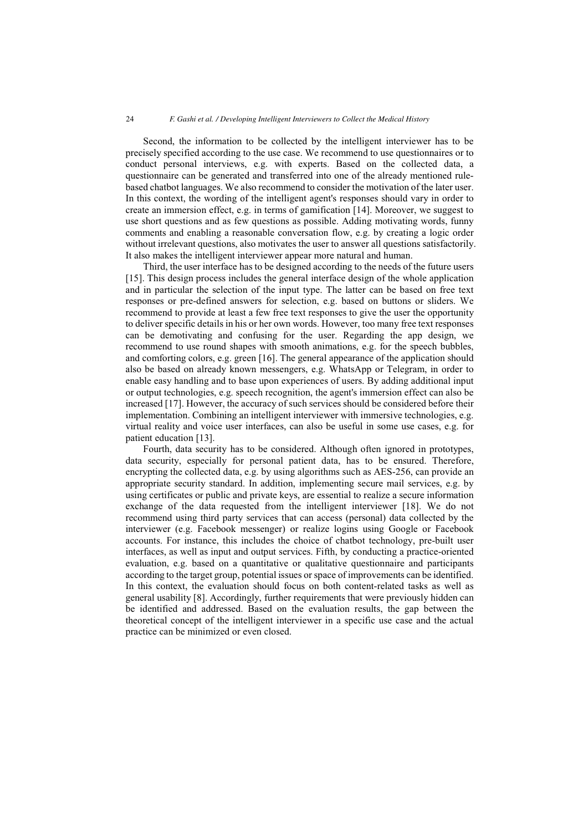Second, the information to be collected by the intelligent interviewer has to be precisely specified according to the use case. We recommend to use questionnaires or to conduct personal interviews, e.g. with experts. Based on the collected data, a questionnaire can be generated and transferred into one of the already mentioned rulebased chatbot languages. We also recommend to consider the motivation of the later user. In this context, the wording of the intelligent agent's responses should vary in order to create an immersion effect, e.g. in terms of gamification [14]. Moreover, we suggest to use short questions and as few questions as possible. Adding motivating words, funny comments and enabling a reasonable conversation flow, e.g. by creating a logic order without irrelevant questions, also motivates the user to answer all questions satisfactorily. It also makes the intelligent interviewer appear more natural and human.

Third, the user interface has to be designed according to the needs of the future users [15]. This design process includes the general interface design of the whole application and in particular the selection of the input type. The latter can be based on free text responses or pre-defined answers for selection, e.g. based on buttons or sliders. We recommend to provide at least a few free text responses to give the user the opportunity to deliver specific details in his or her own words. However, too many free text responses can be demotivating and confusing for the user. Regarding the app design, we recommend to use round shapes with smooth animations, e.g. for the speech bubbles, and comforting colors, e.g. green [16]. The general appearance of the application should also be based on already known messengers, e.g. WhatsApp or Telegram, in order to enable easy handling and to base upon experiences of users. By adding additional input or output technologies, e.g. speech recognition, the agent's immersion effect can also be increased [17]. However, the accuracy of such services should be considered before their implementation. Combining an intelligent interviewer with immersive technologies, e.g. virtual reality and voice user interfaces, can also be useful in some use cases, e.g. for patient education [13].

Fourth, data security has to be considered. Although often ignored in prototypes, data security, especially for personal patient data, has to be ensured. Therefore, encrypting the collected data, e.g. by using algorithms such as AES-256, can provide an appropriate security standard. In addition, implementing secure mail services, e.g. by using certificates or public and private keys, are essential to realize a secure information exchange of the data requested from the intelligent interviewer [18]. We do not recommend using third party services that can access (personal) data collected by the interviewer (e.g. Facebook messenger) or realize logins using Google or Facebook accounts. For instance, this includes the choice of chatbot technology, pre-built user interfaces, as well as input and output services. Fifth, by conducting a practice-oriented evaluation, e.g. based on a quantitative or qualitative questionnaire and participants according to the target group, potential issues or space of improvements can be identified. In this context, the evaluation should focus on both content-related tasks as well as general usability [8]. Accordingly, further requirements that were previously hidden can be identified and addressed. Based on the evaluation results, the gap between the theoretical concept of the intelligent interviewer in a specific use case and the actual practice can be minimized or even closed.